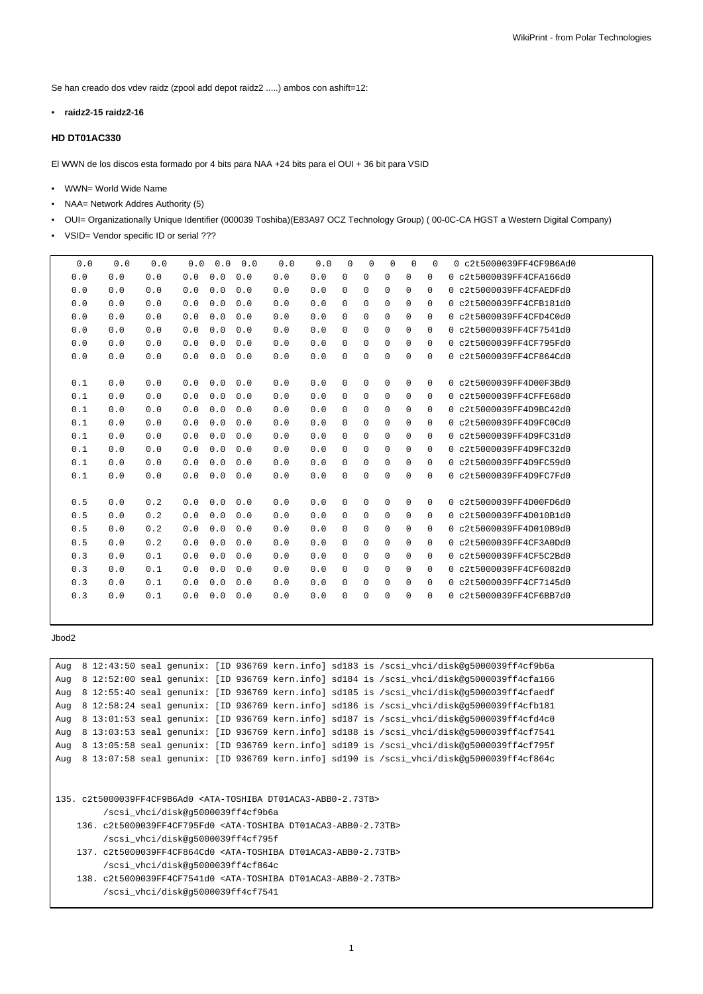Se han creado dos vdev raidz (zpool add depot raidz2 .....) ambos con ashift=12:

• **raidz2-15 raidz2-16**

## **HD DT01AC330**

El WWN de los discos esta formado por 4 bits para NAA +24 bits para el OUI + 36 bit para VSID

- WWN= World Wide Name
- NAA= Network Addres Authority (5)
- OUI= Organizationally Unique Identifier (000039 Toshiba)(E83A97 OCZ Technology Group) ( 00-0C-CA HGST a Western Digital Company)
- VSID= Vendor specific ID or serial ???

| 0.0 | 0.0 | 0.0 | 0.0 | 0.0 | 0.0 | 0.0 | 0.0 | $\Omega$    | 0           | $\Omega$    | $\Omega$    | $\Omega$    | 0 c2t5000039FF4CF9B6Ad0 |
|-----|-----|-----|-----|-----|-----|-----|-----|-------------|-------------|-------------|-------------|-------------|-------------------------|
| 0.0 | 0.0 | 0.0 | 0.0 | 0.0 | 0.0 | 0.0 | 0.0 | $\mathbf 0$ | 0           | 0           | 0           | 0           | 0 c2t5000039FF4CFA166d0 |
| 0.0 | 0.0 | 0.0 | 0.0 | 0.0 | 0.0 | 0.0 | 0.0 | $\mathbf 0$ | 0           | 0           | 0           | $\mathbf 0$ | 0c2t5000039FF4CFAFDFd0  |
| 0.0 | 0.0 | 0.0 | 0.0 | 0.0 | 0.0 | 0.0 | 0.0 | $\mathbf 0$ | $\mathbf 0$ | 0           | $\mathbf 0$ | 0           | 0 c2t5000039FF4CFB181d0 |
| 0.0 | 0.0 | 0.0 | 0.0 | 0.0 | 0.0 | 0.0 | 0.0 | $\Omega$    | 0           | $\Omega$    | $\Omega$    | $\mathbf 0$ | 0 c2t5000039FF4CFD4C0d0 |
| 0.0 | 0.0 | 0.0 | 0.0 | 0.0 | 0.0 | 0.0 | 0.0 | $\Omega$    | $\mathbf 0$ | 0           | 0           | 0           | 0 c2t5000039FF4CF7541d0 |
| 0.0 | 0.0 | 0.0 | 0.0 | 0.0 | 0.0 | 0.0 | 0.0 | 0           | $\mathbf 0$ | $\mathbf 0$ | 0           | $\mathbf 0$ | 0 c2t5000039FF4CF795Fd0 |
| 0.0 | 0.0 | 0.0 | 0.0 | 0.0 | 0.0 | 0.0 | 0.0 | $\Omega$    | 0           | 0           | $\Omega$    | 0           | 0 c2t5000039FF4CF864Cd0 |
|     |     |     |     |     |     |     |     |             |             |             |             |             |                         |
| 0.1 | 0.0 | 0.0 | 0.0 | 0.0 | 0.0 | 0.0 | 0.0 | $\mathbf 0$ | $\mathbf 0$ | $\mathbf 0$ | $\mathbf 0$ | $\mathbf 0$ | 0 c2t5000039FF4D00F3Bd0 |
| 0.1 | 0.0 | 0.0 | 0.0 | 0.0 | 0.0 | 0.0 | 0.0 | $\mathbf 0$ | $\mathsf 0$ | $\mathbf 0$ | 0           | 0           | 0 c2t5000039FF4CFFE68d0 |
| 0.1 | 0.0 | 0.0 | 0.0 | 0.0 | 0.0 | 0.0 | 0.0 | $\Omega$    | 0           | 0           | $\Omega$    | $\mathbf 0$ | 0 c2t5000039FF4D9BC42d0 |
| 0.1 | 0.0 | 0.0 | 0.0 | 0.0 | 0.0 | 0.0 | 0.0 | $\mathbf 0$ | 0           | 0           | 0           | $\mathbf 0$ | 0 c2t5000039FF4D9FC0Cd0 |
| 0.1 | 0.0 | 0.0 | 0.0 | 0.0 | 0.0 | 0.0 | 0.0 | $\mathbf 0$ | $\mathbf 0$ | $\mathbf 0$ | 0           | 0           | 0 c2t5000039FF4D9FC31d0 |
| 0.1 | 0.0 | 0.0 | 0.0 | 0.0 | 0.0 | 0.0 | 0.0 | $\Omega$    | 0           | $\mathbf 0$ | 0           | $\mathbf 0$ | 0 c2t5000039FF4D9FC32d0 |
| 0.1 | 0.0 | 0.0 | 0.0 | 0.0 | 0.0 | 0.0 | 0.0 | $\Omega$    | 0           | 0           | $\Omega$    | 0           | 0 c2t5000039FF4D9FC59d0 |
| 0.1 | 0.0 | 0.0 | 0.0 | 0.0 | 0.0 | 0.0 | 0.0 | 0           | 0           | $\mathbf 0$ | $\Omega$    | 0           | 0 c2t5000039FF4D9FC7Fd0 |
|     |     |     |     |     |     |     |     |             |             |             |             |             |                         |
| 0.5 | 0.0 | 0.2 | 0.0 | 0.0 | 0.0 | 0.0 | 0.0 | $\mathbf 0$ | 0           | 0           | 0           | 0           | 0 c2t5000039FF4D00FD6d0 |
| 0.5 | 0.0 | 0.2 | 0.0 | 0.0 | 0.0 | 0.0 | 0.0 | $\mathbf 0$ | $\mathbf 0$ | $\mathbf 0$ | 0           | $\mathbf 0$ | 0 c2t5000039FF4D010B1d0 |
| 0.5 | 0.0 | 0.2 | 0.0 | 0.0 | 0.0 | 0.0 | 0.0 | 0           | $\mathbf 0$ | 0           | 0           | 0           | 0 c2t5000039FF4D010B9d0 |
| 0.5 | 0.0 | 0.2 | 0.0 | 0.0 | 0.0 | 0.0 | 0.0 | $\Omega$    | $\mathbf 0$ | $\mathbf 0$ | $\Omega$    | $\mathbf 0$ | 0 c2t5000039FF4CF3A0Dd0 |
| 0.3 | 0.0 | 0.1 | 0.0 | 0.0 | 0.0 | 0.0 | 0.0 | $\Omega$    | 0           | 0           | $\Omega$    | $\mathbf 0$ | 0 c2t5000039FF4CF5C2Bd0 |
| 0.3 | 0.0 | 0.1 | 0.0 | 0.0 | 0.0 | 0.0 | 0.0 | 0           | 0           | 0           | 0           | $\mathbf 0$ | 0 c2t5000039FF4CF6082d0 |
| 0.3 | 0.0 | 0.1 | 0.0 | 0.0 | 0.0 | 0.0 | 0.0 | $\mathbf 0$ | 0           | 0           | 0           | $\mathbf 0$ | 0 c2t5000039FF4CF7145d0 |
| 0.3 | 0.0 | 0.1 | 0.0 | 0.0 | 0.0 | 0.0 | 0.0 | $\Omega$    | 0           | $\Omega$    | $\Omega$    | $\Omega$    | 0 c2t5000039FF4CF6BB7d0 |
|     |     |     |     |     |     |     |     |             |             |             |             |             |                         |

## Jbod2

```
Aug 8 12:43:50 seal genunix: [ID 936769 kern.info] sd183 is /scsi_vhci/disk@g5000039ff4cf9b6a
Aug 8 12:52:00 seal genunix: [ID 936769 kern.info] sd184 is /scsi_vhci/disk@g5000039ff4cfa166
Aug 8 12:55:40 seal genunix: [ID 936769 kern.info] sd185 is /scsi_vhci/disk@g5000039ff4cfaedf
Aug 8 12:58:24 seal genunix: [ID 936769 kern.info] sd186 is /scsi_vhci/disk@g5000039ff4cfb181
Aug 8 13:01:53 seal genunix: [ID 936769 kern.info] sd187 is /scsi vhci/disk@g5000039ff4cfd4c0
Aug 8 13:03:53 seal genunix: [ID 936769 kern.info] sd188 is /scsi_vhci/disk@g5000039ff4cf7541
Aug 8 13:05:58 seal genunix: [ID 936769 kern.info] sd189 is /scsi_vhci/disk@g5000039ff4cf795f
Aug 8 13:07:58 seal genunix: [ID 936769 kern.info] sd190 is /scsi_vhci/disk@g5000039ff4cf864c
```

```
135. c2t5000039FF4CF9B6Ad0 <ATA-TOSHIBA DT01ACA3-ABB0-2.73TB>
        /scsi_vhci/disk@g5000039ff4cf9b6a
```

```
136. c2t5000039FF4CF795Fd0 <ATA-TOSHIBA DT01ACA3-ABB0-2.73TB>
    /scsi_vhci/disk@g5000039ff4cf795f
```

```
137. c2t5000039FF4CF864Cd0 <ATA-TOSHIBA DT01ACA3-ABB0-2.73TB>
    /scsi_vhci/disk@g5000039ff4cf864c
```
138. c2t5000039FF4CF7541d0 <ATA-TOSHIBA DT01ACA3-ABB0-2.73TB> /scsi\_vhci/disk@g5000039ff4cf7541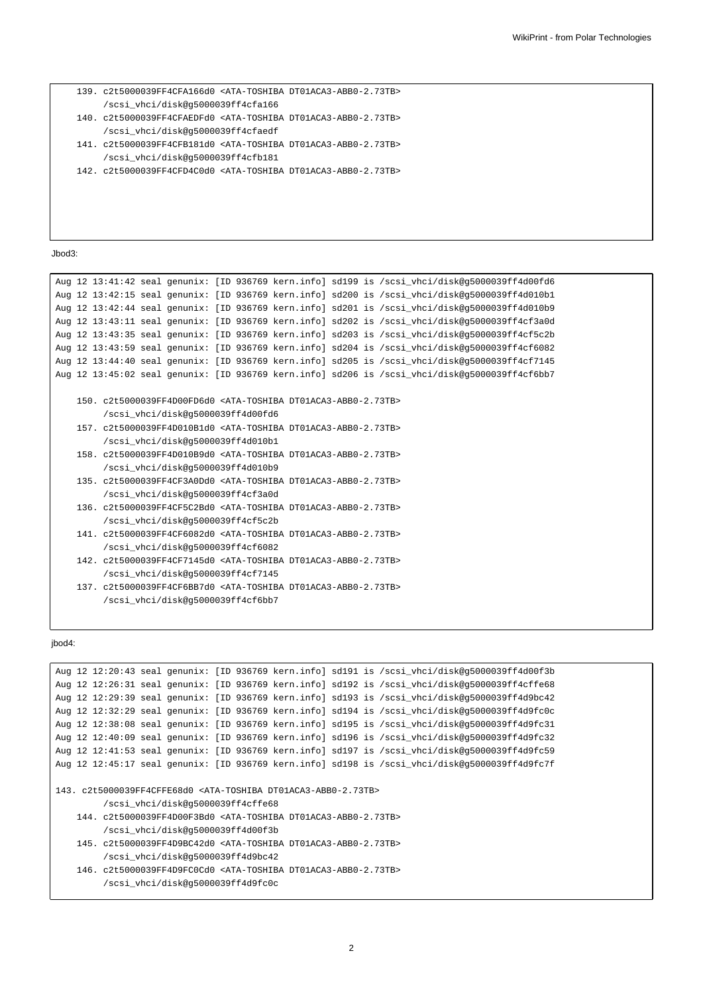```
139. c2t5000039FF4CFA166d0 <ATA-TOSHIBA DT01ACA3-ABB0-2.73TB>
     /scsi_vhci/disk@g5000039ff4cfa166
140. c2t5000039FF4CFAEDFd0 <ATA-TOSHIBA DT01ACA3-ABB0-2.73TB>
     /scsi_vhci/disk@g5000039ff4cfaedf
141. c2t5000039FF4CFB181d0 <ATA-TOSHIBA DT01ACA3-ABB0-2.73TB>
     /scsi_vhci/disk@g5000039ff4cfb181
142. c2t5000039FF4CFD4C0d0 <ATA-TOSHIBA DT01ACA3-ABB0-2.73TB>
```
Jbod3:

```
Aug 12 13:41:42 seal genunix: [ID 936769 kern.info] sd199 is /scsi_vhci/disk@g5000039ff4d00fd6
Aug 12 13:42:15 seal genunix: [ID 936769 kern.info] sd200 is /scsi_vhci/disk@g5000039ff4d010b1
Aug 12 13:42:44 seal genunix: [ID 936769 kern.info] sd201 is /scsi_vhci/disk@g5000039ff4d010b9
Aug 12 13:43:11 seal genunix: [ID 936769 kern.info] sd202 is /scsi_vhci/disk@g5000039ff4cf3a0d
Aug 12 13:43:35 seal genunix: [ID 936769 kern.info] sd203 is /scsi_vhci/disk@g5000039ff4cf5c2b
Aug 12 13:43:59 seal genunix: [ID 936769 kern.info] sd204 is /scsi_vhci/disk@g5000039ff4cf6082
Aug 12 13:44:40 seal genunix: [ID 936769 kern.info] sd205 is /scsi_vhci/disk@g5000039ff4cf7145
Aug 12 13:45:02 seal genunix: [ID 936769 kern.info] sd206 is /scsi_vhci/disk@g5000039ff4cf6bb7
    150. c2t5000039FF4D00FD6d0 <ATA-TOSHIBA DT01ACA3-ABB0-2.73TB>
         /scsi_vhci/disk@g5000039ff4d00fd6
    157. c2t5000039FF4D010B1d0 <ATA-TOSHIBA DT01ACA3-ABB0-2.73TB>
         /scsi_vhci/disk@g5000039ff4d010b1
    158. c2t5000039FF4D010B9d0 <ATA-TOSHIBA DT01ACA3-ABB0-2.73TB>
         /scsi_vhci/disk@g5000039ff4d010b9
    135. c2t5000039FF4CF3A0Dd0 <ATA-TOSHIBA DT01ACA3-ABB0-2.73TB>
         /scsi_vhci/disk@g5000039ff4cf3a0d
    136. c2t5000039FF4CF5C2Bd0 <ATA-TOSHIBA DT01ACA3-ABB0-2.73TB>
         /scsi_vhci/disk@g5000039ff4cf5c2b
    141. c2t5000039FF4CF6082d0 <ATA-TOSHIBA DT01ACA3-ABB0-2.73TB>
         /scsi_vhci/disk@g5000039ff4cf6082
    142. c2t5000039FF4CF7145d0 <ATA-TOSHIBA DT01ACA3-ABB0-2.73TB>
         /scsi_vhci/disk@g5000039ff4cf7145
    137. c2t5000039FF4CF6BB7d0 <ATA-TOSHIBA DT01ACA3-ABB0-2.73TB>
         /scsi_vhci/disk@g5000039ff4cf6bb7
```
## jbod4:

```
Aug 12 12:20:43 seal genunix: [ID 936769 kern.info] sd191 is /scsi_vhci/disk@g5000039ff4d00f3b
Aug 12 12:26:31 seal genunix: [ID 936769 kern.info] sd192 is /scsi_vhci/disk@g5000039ff4cffe68
Aug 12 12:29:39 seal genunix: [ID 936769 kern.info] sd193 is /scsi_vhci/disk@g5000039ff4d9bc42
Aug 12 12:32:29 seal genunix: [ID 936769 kern.info] sd194 is /scsi_vhci/disk@g5000039ff4d9fc0c
Aug 12 12:38:08 seal genunix: [ID 936769 kern.info] sd195 is /scsi_vhci/disk@g5000039ff4d9fc31
Aug 12 12:40:09 seal genunix: [ID 936769 kern.info] sd196 is /scsi_vhci/disk@g5000039ff4d9fc32
Aug 12 12:41:53 seal genunix: [ID 936769 kern.info] sd197 is /scsi_vhci/disk@g5000039ff4d9fc59
Aug 12 12:45:17 seal genunix: [ID 936769 kern.info] sd198 is /scsi_vhci/disk@g5000039ff4d9fc7f
143. c2t5000039FF4CFFE68d0 <ATA-TOSHIBA DT01ACA3-ABB0-2.73TB>
        /scsi_vhci/disk@g5000039ff4cffe68
    144. c2t5000039FF4D00F3Bd0 <ATA-TOSHIBA DT01ACA3-ABB0-2.73TB>
        /scsi_vhci/disk@g5000039ff4d00f3b
    145. c2t5000039FF4D9BC42d0 <ATA-TOSHIBA DT01ACA3-ABB0-2.73TB>
        /scsi_vhci/disk@g5000039ff4d9bc42
    146. c2t5000039FF4D9FC0Cd0 <ATA-TOSHIBA DT01ACA3-ABB0-2.73TB>
         /scsi_vhci/disk@g5000039ff4d9fc0c
```